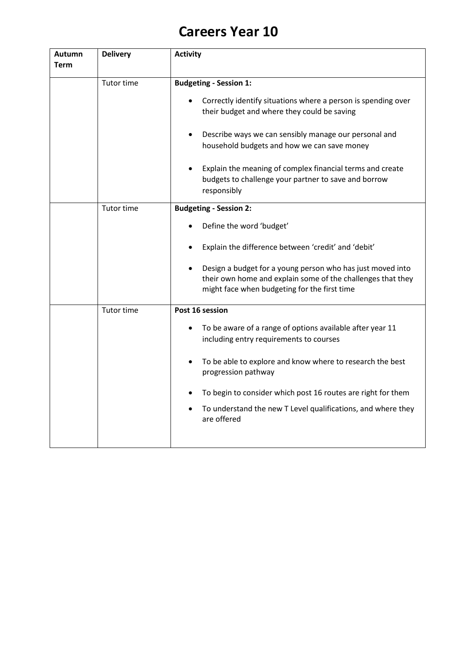## **Careers Year 10**

| <b>Autumn</b><br><b>Term</b> | <b>Delivery</b> | <b>Activity</b>                                                                                                                                                                                                                                                                                                                                                                           |
|------------------------------|-----------------|-------------------------------------------------------------------------------------------------------------------------------------------------------------------------------------------------------------------------------------------------------------------------------------------------------------------------------------------------------------------------------------------|
|                              |                 |                                                                                                                                                                                                                                                                                                                                                                                           |
|                              | Tutor time      | <b>Budgeting - Session 1:</b><br>Correctly identify situations where a person is spending over<br>their budget and where they could be saving<br>Describe ways we can sensibly manage our personal and<br>household budgets and how we can save money<br>Explain the meaning of complex financial terms and create<br>budgets to challenge your partner to save and borrow<br>responsibly |
|                              | Tutor time      | <b>Budgeting - Session 2:</b><br>Define the word 'budget'<br>Explain the difference between 'credit' and 'debit'<br>Design a budget for a young person who has just moved into<br>their own home and explain some of the challenges that they<br>might face when budgeting for the first time                                                                                             |
|                              | Tutor time      | Post 16 session<br>To be aware of a range of options available after year 11<br>including entry requirements to courses<br>To be able to explore and know where to research the best<br>progression pathway<br>To begin to consider which post 16 routes are right for them<br>To understand the new T Level qualifications, and where they<br>are offered                                |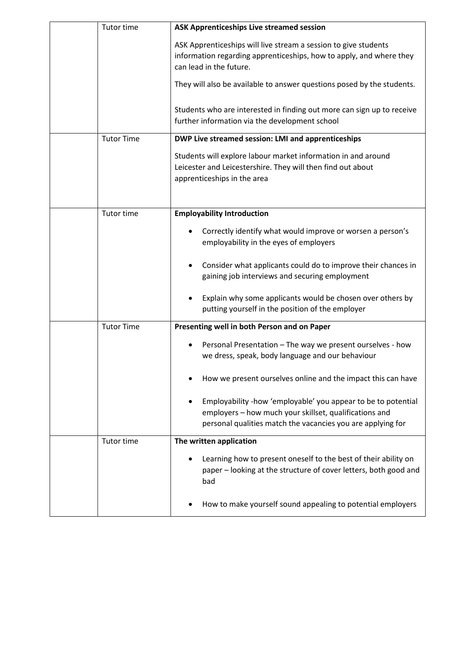| Tutor time        | <b>ASK Apprenticeships Live streamed session</b>                                                                                                                                       |
|-------------------|----------------------------------------------------------------------------------------------------------------------------------------------------------------------------------------|
|                   | ASK Apprenticeships will live stream a session to give students<br>information regarding apprenticeships, how to apply, and where they<br>can lead in the future.                      |
|                   | They will also be available to answer questions posed by the students.                                                                                                                 |
|                   | Students who are interested in finding out more can sign up to receive<br>further information via the development school                                                               |
| <b>Tutor Time</b> | DWP Live streamed session: LMI and apprenticeships                                                                                                                                     |
|                   | Students will explore labour market information in and around<br>Leicester and Leicestershire. They will then find out about<br>apprenticeships in the area                            |
| Tutor time        | <b>Employability Introduction</b>                                                                                                                                                      |
|                   | Correctly identify what would improve or worsen a person's<br>employability in the eyes of employers                                                                                   |
|                   | Consider what applicants could do to improve their chances in<br>gaining job interviews and securing employment                                                                        |
|                   | Explain why some applicants would be chosen over others by<br>putting yourself in the position of the employer                                                                         |
| <b>Tutor Time</b> | Presenting well in both Person and on Paper                                                                                                                                            |
|                   | Personal Presentation - The way we present ourselves - how<br>we dress, speak, body language and our behaviour                                                                         |
|                   | How we present ourselves online and the impact this can have                                                                                                                           |
|                   | Employability -how 'employable' you appear to be to potential<br>employers - how much your skillset, qualifications and<br>personal qualities match the vacancies you are applying for |
| Tutor time        | The written application                                                                                                                                                                |
|                   | Learning how to present oneself to the best of their ability on<br>paper - looking at the structure of cover letters, both good and<br>bad                                             |
|                   | How to make yourself sound appealing to potential employers                                                                                                                            |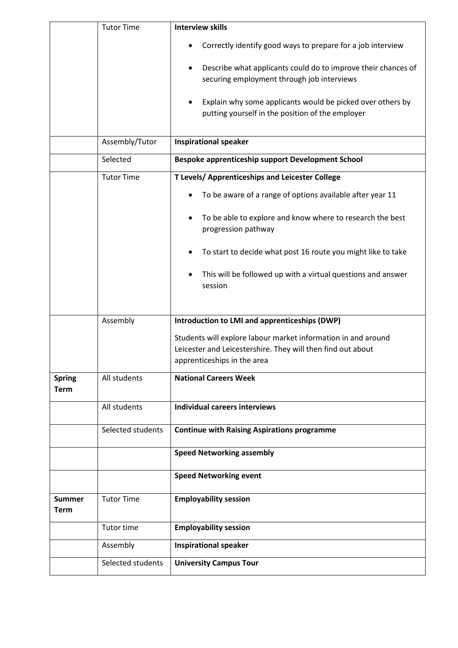|                              | <b>Tutor Time</b> | <b>Interview skills</b>                                                                                        |
|------------------------------|-------------------|----------------------------------------------------------------------------------------------------------------|
|                              |                   | Correctly identify good ways to prepare for a job interview                                                    |
|                              |                   | Describe what applicants could do to improve their chances of<br>securing employment through job interviews    |
|                              |                   | Explain why some applicants would be picked over others by<br>putting yourself in the position of the employer |
|                              | Assembly/Tutor    | <b>Inspirational speaker</b>                                                                                   |
|                              | Selected          | Bespoke apprenticeship support Development School                                                              |
|                              | <b>Tutor Time</b> | T Levels/ Apprenticeships and Leicester College                                                                |
|                              |                   | To be aware of a range of options available after year 11                                                      |
|                              |                   | To be able to explore and know where to research the best<br>progression pathway                               |
|                              |                   | To start to decide what post 16 route you might like to take                                                   |
|                              |                   | This will be followed up with a virtual questions and answer<br>session                                        |
|                              | Assembly          | Introduction to LMI and apprenticeships (DWP)                                                                  |
|                              |                   | Students will explore labour market information in and around                                                  |
|                              |                   | Leicester and Leicestershire. They will then find out about                                                    |
|                              |                   | apprenticeships in the area                                                                                    |
| <b>Spring</b><br><b>Term</b> | All students      | <b>National Careers Week</b>                                                                                   |
|                              | All students      | <b>Individual careers interviews</b>                                                                           |
|                              | Selected students | <b>Continue with Raising Aspirations programme</b>                                                             |
|                              |                   | <b>Speed Networking assembly</b>                                                                               |
|                              |                   | <b>Speed Networking event</b>                                                                                  |
| <b>Summer</b><br>Term        | <b>Tutor Time</b> | <b>Employability session</b>                                                                                   |
|                              | Tutor time        | <b>Employability session</b>                                                                                   |
|                              | Assembly          | <b>Inspirational speaker</b>                                                                                   |
|                              | Selected students | <b>University Campus Tour</b>                                                                                  |